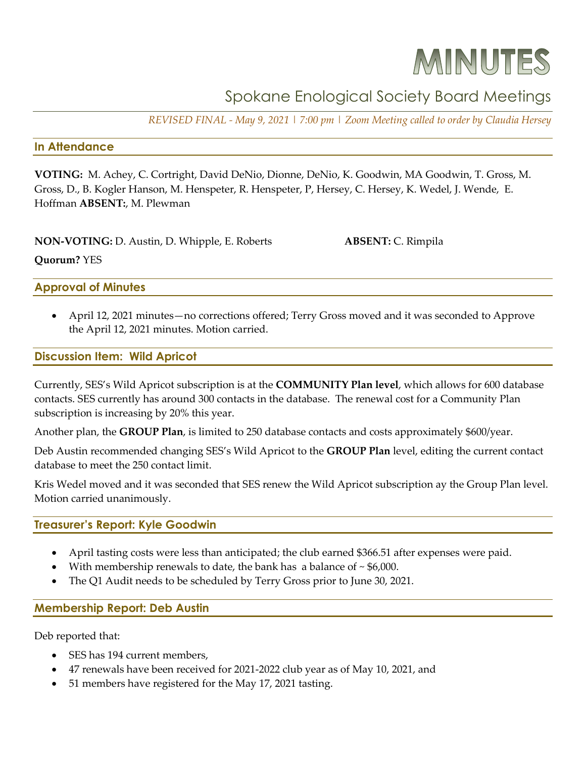# MINUTES

# Spokane Enological Society Board Meetings

*REVISED FINAL - May 9, 2021 | 7:00 pm | Zoom Meeting called to order by Claudia Hersey*

#### **In Attendance**

**VOTING:** M. Achey, C. Cortright, David DeNio, Dionne, DeNio, K. Goodwin, MA Goodwin, T. Gross, M. Gross, D., B. Kogler Hanson, M. Henspeter, R. Henspeter, P, Hersey, C. Hersey, K. Wedel, J. Wende, E. Hoffman **ABSENT:**, M. Plewman

| NON-VOTING: D. Austin, D. Whipple, E. Roberts | <b>ABSENT: C. Rimpila</b> |
|-----------------------------------------------|---------------------------|
| <b>Quorum?</b> YES                            |                           |
| <b>Approval of Minutes</b>                    |                           |

• April 12, 2021 minutes—no corrections offered; Terry Gross moved and it was seconded to Approve the April 12, 2021 minutes. Motion carried.

#### **Discussion Item: Wild Apricot**

Currently, SES's Wild Apricot subscription is at the **COMMUNITY Plan level**, which allows for 600 database contacts. SES currently has around 300 contacts in the database. The renewal cost for a Community Plan subscription is increasing by 20% this year.

Another plan, the **GROUP Plan**, is limited to 250 database contacts and costs approximately \$600/year.

Deb Austin recommended changing SES's Wild Apricot to the **GROUP Plan** level, editing the current contact database to meet the 250 contact limit.

Kris Wedel moved and it was seconded that SES renew the Wild Apricot subscription ay the Group Plan level. Motion carried unanimously.

# **Treasurer's Report: Kyle Goodwin**

- April tasting costs were less than anticipated; the club earned \$366.51 after expenses were paid.
- With membership renewals to date, the bank has a balance of  $\sim$  \$6,000.
- The Q1 Audit needs to be scheduled by Terry Gross prior to June 30, 2021.

# **Membership Report: Deb Austin**

Deb reported that:

- SES has 194 current members,
- 47 renewals have been received for 2021-2022 club year as of May 10, 2021, and
- 51 members have registered for the May 17, 2021 tasting.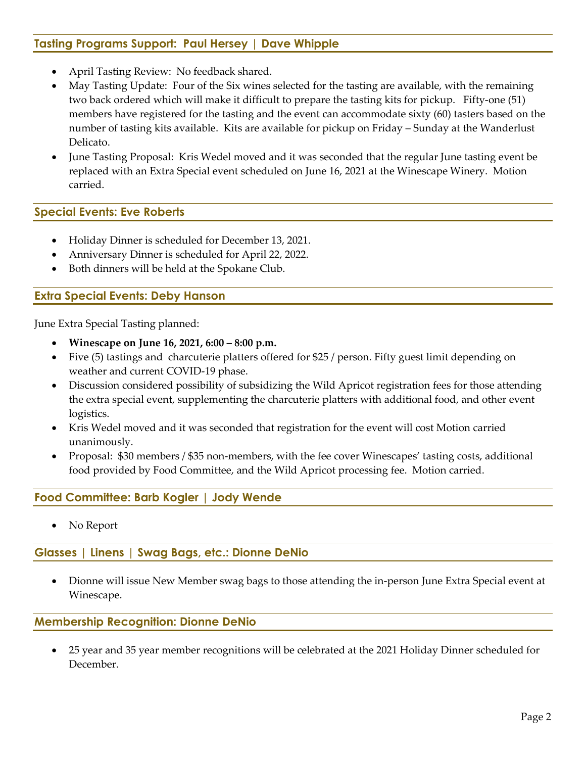# **Tasting Programs Support: Paul Hersey | Dave Whipple**

- April Tasting Review: No feedback shared.
- May Tasting Update: Four of the Six wines selected for the tasting are available, with the remaining two back ordered which will make it difficult to prepare the tasting kits for pickup. Fifty-one (51) members have registered for the tasting and the event can accommodate sixty (60) tasters based on the number of tasting kits available. Kits are available for pickup on Friday – Sunday at the Wanderlust Delicato.
- June Tasting Proposal: Kris Wedel moved and it was seconded that the regular June tasting event be replaced with an Extra Special event scheduled on June 16, 2021 at the Winescape Winery. Motion carried.

#### **Special Events: Eve Roberts**

- Holiday Dinner is scheduled for December 13, 2021.
- Anniversary Dinner is scheduled for April 22, 2022.
- Both dinners will be held at the Spokane Club.

# **Extra Special Events: Deby Hanson**

June Extra Special Tasting planned:

- **Winescape on June 16, 2021, 6:00 – 8:00 p.m.**
- Five (5) tastings and charcuterie platters offered for \$25 / person. Fifty guest limit depending on weather and current COVID-19 phase.
- Discussion considered possibility of subsidizing the Wild Apricot registration fees for those attending the extra special event, supplementing the charcuterie platters with additional food, and other event logistics.
- Kris Wedel moved and it was seconded that registration for the event will cost Motion carried unanimously.
- Proposal: \$30 members / \$35 non-members, with the fee cover Winescapes' tasting costs, additional food provided by Food Committee, and the Wild Apricot processing fee. Motion carried.

# **Food Committee: Barb Kogler | Jody Wende**

No Report

# **Glasses | Linens | Swag Bags, etc.: Dionne DeNio**

• Dionne will issue New Member swag bags to those attending the in-person June Extra Special event at Winescape.

#### **Membership Recognition: Dionne DeNio**

• 25 year and 35 year member recognitions will be celebrated at the 2021 Holiday Dinner scheduled for December.